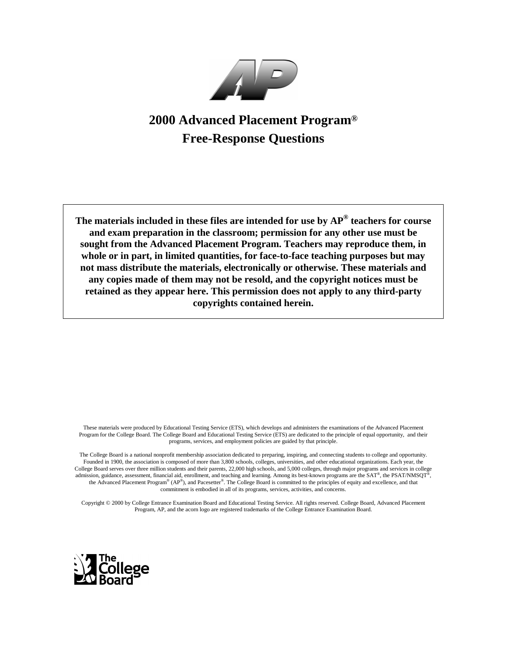

# **2000 Advanced Placement Program® Free-Response Questions**

**The materials included in these files are intended for use by AP® teachers for course and exam preparation in the classroom; permission for any other use must be sought from the Advanced Placement Program. Teachers may reproduce them, in whole or in part, in limited quantities, for face-to-face teaching purposes but may not mass distribute the materials, electronically or otherwise. These materials and any copies made of them may not be resold, and the copyright notices must be retained as they appear here. This permission does not apply to any third-party copyrights contained herein.**

These materials were produced by Educational Testing Service (ETS), which develops and administers the examinations of the Advanced Placement Program for the College Board. The College Board and Educational Testing Service (ETS) are dedicated to the principle of equal opportunity, and their programs, services, and employment policies are guided by that principle.

The College Board is a national nonprofit membership association dedicated to preparing, inspiring, and connecting students to college and opportunity. Founded in 1900, the association is composed of more than 3,800 schools, colleges, universities, and other educational organizations. Each year, the College Board serves over three million students and their parents, 22,000 high schools, and 5,000 colleges, through major programs and services in college admission, guidance, assessment, financial aid, enrollment, and teaching and learning. Among its best-known programs are the SAT®, the PSAT/NMSQT®, the Advanced Placement Program® (AP®), and Pacesetter®. The College Board is committed to the principles of equity and excellence, and that commitment is embodied in all of its programs, services, activities, and concerns.

Copyright © 2000 by College Entrance Examination Board and Educational Testing Service. All rights reserved. College Board, Advanced Placement Program, AP, and the acorn logo are registered trademarks of the College Entrance Examination Board.

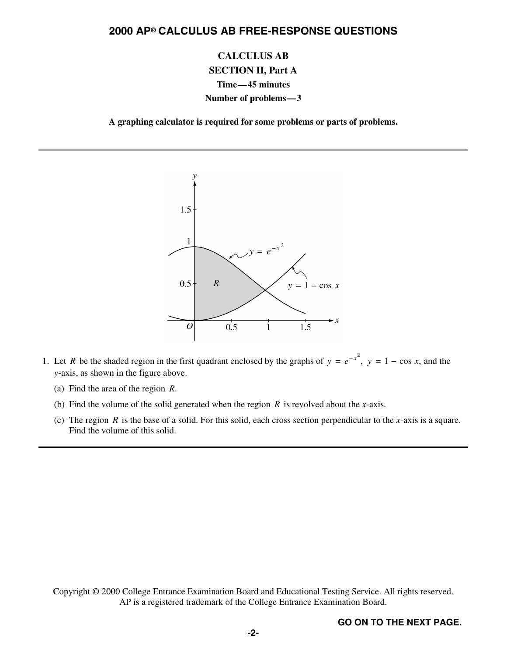**CALCULUS AB SECTION II, Part A Time—45 minutes Number of problems—3**

**A graphing calculator is required for some problems or parts of problems.**



- 1. Let *R* be the shaded region in the first quadrant enclosed by the graphs of  $y = e^{-x^2}$ ,  $y = 1 \cos x$ , and the *y*-axis, as shown in the figure above.
	- (a) Find the area of the region *R*.
	- (b) Find the volume of the solid generated when the region *R* is revolved about the *x*-axis.
	- (c) The region *R* is the base of a solid. For this solid, each cross section perpendicular to the *x-*axis is a square. Find the volume of this solid.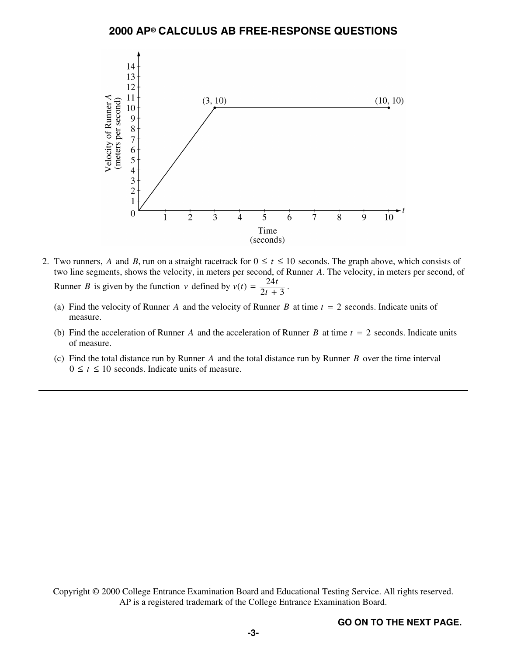

- 2. Two runners, *A* and *B*, run on a straight racetrack for  $0 \le t \le 10$  seconds. The graph above, which consists of two line segments, shows the velocity, in meters per second, of Runner *A*. The velocity, in meters per second, of Runner *B* is given by the function *v* defined by  $v(t) = \frac{24t}{2t+3}$ .  $2t + 3$ 
	- (a) Find the velocity of Runner *A* and the velocity of Runner *B* at time *t* = 2 seconds. Indicate units of measure.
	- (b) Find the acceleration of Runner *A* and the acceleration of Runner *B* at time *t* = 2 seconds. Indicate units of measure.
	- (c) Find the total distance run by Runner *A* and the total distance run by Runner *B* over the time interval  $0 \le t \le 10$  seconds. Indicate units of measure.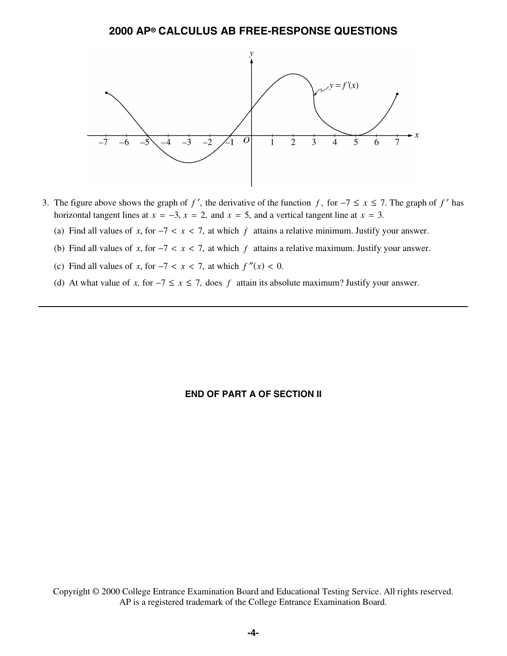

- 3. The figure above shows the graph of f', the derivative of the function f, for  $-7 \le x \le 7$ . The graph of f' has horizontal tangent lines at  $x = -3$ ,  $x = 2$ , and  $x = 5$ , and a vertical tangent line at  $x = 3$ .
	- (a) Find all values of x, for  $-7 < x < 7$ , at which f attains a relative minimum. Justify your answer.
	- (b) Find all values of x, for  $-7 < x < 7$ , at which f attains a relative maximum. Justify your answer.
	- (c) Find all values of *x*, for  $-7 < x < 7$ , at which  $f''(x) < 0$ .
	- (d) At what value of *x*, for  $-7 \le x \le 7$ , does *f* attain its absolute maximum? Justify your answer.

# **END OF PART A OF SECTION II**